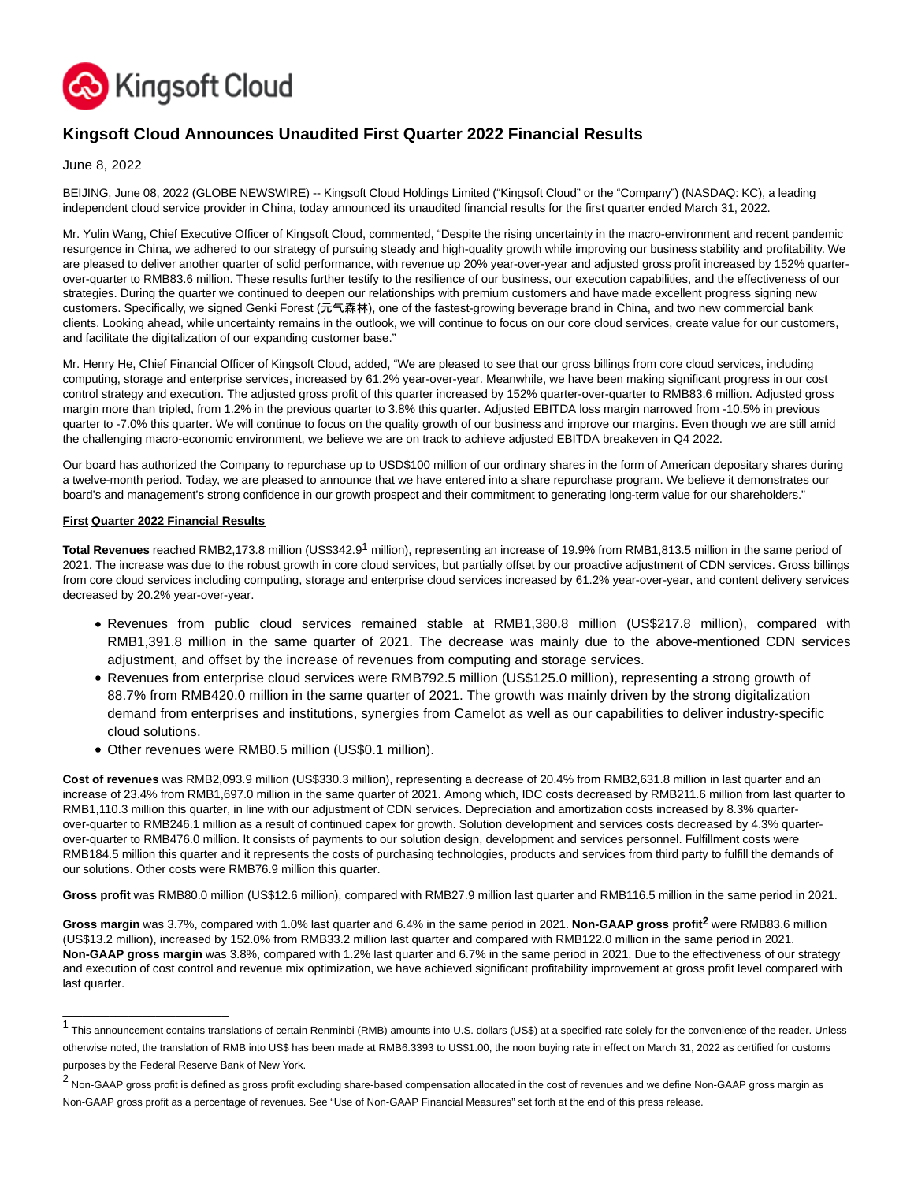

# **Kingsoft Cloud Announces Unaudited First Quarter 2022 Financial Results**

June 8, 2022

BEIJING, June 08, 2022 (GLOBE NEWSWIRE) -- Kingsoft Cloud Holdings Limited ("Kingsoft Cloud" or the "Company") (NASDAQ: KC), a leading independent cloud service provider in China, today announced its unaudited financial results for the first quarter ended March 31, 2022.

Mr. Yulin Wang, Chief Executive Officer of Kingsoft Cloud, commented, "Despite the rising uncertainty in the macro-environment and recent pandemic resurgence in China, we adhered to our strategy of pursuing steady and high-quality growth while improving our business stability and profitability. We are pleased to deliver another quarter of solid performance, with revenue up 20% year-over-year and adjusted gross profit increased by 152% quarterover-quarter to RMB83.6 million. These results further testify to the resilience of our business, our execution capabilities, and the effectiveness of our strategies. During the quarter we continued to deepen our relationships with premium customers and have made excellent progress signing new customers. Specifically, we signed Genki Forest (元气森林), one of the fastest-growing beverage brand in China, and two new commercial bank clients. Looking ahead, while uncertainty remains in the outlook, we will continue to focus on our core cloud services, create value for our customers, and facilitate the digitalization of our expanding customer base."

Mr. Henry He, Chief Financial Officer of Kingsoft Cloud, added, "We are pleased to see that our gross billings from core cloud services, including computing, storage and enterprise services, increased by 61.2% year-over-year. Meanwhile, we have been making significant progress in our cost control strategy and execution. The adjusted gross profit of this quarter increased by 152% quarter-over-quarter to RMB83.6 million. Adjusted gross margin more than tripled, from 1.2% in the previous quarter to 3.8% this quarter. Adjusted EBITDA loss margin narrowed from -10.5% in previous quarter to -7.0% this quarter. We will continue to focus on the quality growth of our business and improve our margins. Even though we are still amid the challenging macro-economic environment, we believe we are on track to achieve adjusted EBITDA breakeven in Q4 2022.

Our board has authorized the Company to repurchase up to USD\$100 million of our ordinary shares in the form of American depositary shares during a twelve-month period. Today, we are pleased to announce that we have entered into a share repurchase program. We believe it demonstrates our board's and management's strong confidence in our growth prospect and their commitment to generating long-term value for our shareholders."

### **First Quarter 2022 Financial Results**

\_\_\_\_\_\_\_\_\_\_\_\_\_\_\_\_\_\_\_\_\_\_\_\_\_

**Total Revenues** reached RMB2,173.8 million (US\$342.91 million), representing an increase of 19.9% from RMB1,813.5 million in the same period of 2021. The increase was due to the robust growth in core cloud services, but partially offset by our proactive adjustment of CDN services. Gross billings from core cloud services including computing, storage and enterprise cloud services increased by 61.2% year-over-year, and content delivery services decreased by 20.2% year-over-year.

- Revenues from public cloud services remained stable at RMB1,380.8 million (US\$217.8 million), compared with RMB1,391.8 million in the same quarter of 2021. The decrease was mainly due to the above-mentioned CDN services adjustment, and offset by the increase of revenues from computing and storage services.
- Revenues from enterprise cloud services were RMB792.5 million (US\$125.0 million), representing a strong growth of 88.7% from RMB420.0 million in the same quarter of 2021. The growth was mainly driven by the strong digitalization demand from enterprises and institutions, synergies from Camelot as well as our capabilities to deliver industry-specific cloud solutions.
- Other revenues were RMB0.5 million (US\$0.1 million).

**Cost of revenues** was RMB2,093.9 million (US\$330.3 million), representing a decrease of 20.4% from RMB2,631.8 million in last quarter and an increase of 23.4% from RMB1,697.0 million in the same quarter of 2021. Among which, IDC costs decreased by RMB211.6 million from last quarter to RMB1,110.3 million this quarter, in line with our adjustment of CDN services. Depreciation and amortization costs increased by 8.3% quarterover-quarter to RMB246.1 million as a result of continued capex for growth. Solution development and services costs decreased by 4.3% quarterover-quarter to RMB476.0 million. It consists of payments to our solution design, development and services personnel. Fulfillment costs were RMB184.5 million this quarter and it represents the costs of purchasing technologies, products and services from third party to fulfill the demands of our solutions. Other costs were RMB76.9 million this quarter.

**Gross profit** was RMB80.0 million (US\$12.6 million), compared with RMB27.9 million last quarter and RMB116.5 million in the same period in 2021.

**Gross margin** was 3.7%, compared with 1.0% last quarter and 6.4% in the same period in 2021. **Non-GAAP gross profit2** were RMB83.6 million (US\$13.2 million), increased by 152.0% from RMB33.2 million last quarter and compared with RMB122.0 million in the same period in 2021. **Non-GAAP gross margin** was 3.8%, compared with 1.2% last quarter and 6.7% in the same period in 2021. Due to the effectiveness of our strategy and execution of cost control and revenue mix optimization, we have achieved significant profitability improvement at gross profit level compared with last quarter.

<sup>1&</sup>lt;br>This announcement contains translations of certain Renminbi (RMB) amounts into U.S. dollars (US\$) at a specified rate solely for the convenience of the reader. Unless otherwise noted, the translation of RMB into US\$ has been made at RMB6.3393 to US\$1.00, the noon buying rate in effect on March 31, 2022 as certified for customs purposes by the Federal Reserve Bank of New York.

<sup>&</sup>lt;sup>2</sup> Non-GAAP gross profit is defined as gross profit excluding share-based compensation allocated in the cost of revenues and we define Non-GAAP gross margin as Non-GAAP gross profit as a percentage of revenues. See "Use of Non-GAAP Financial Measures" set forth at the end of this press release.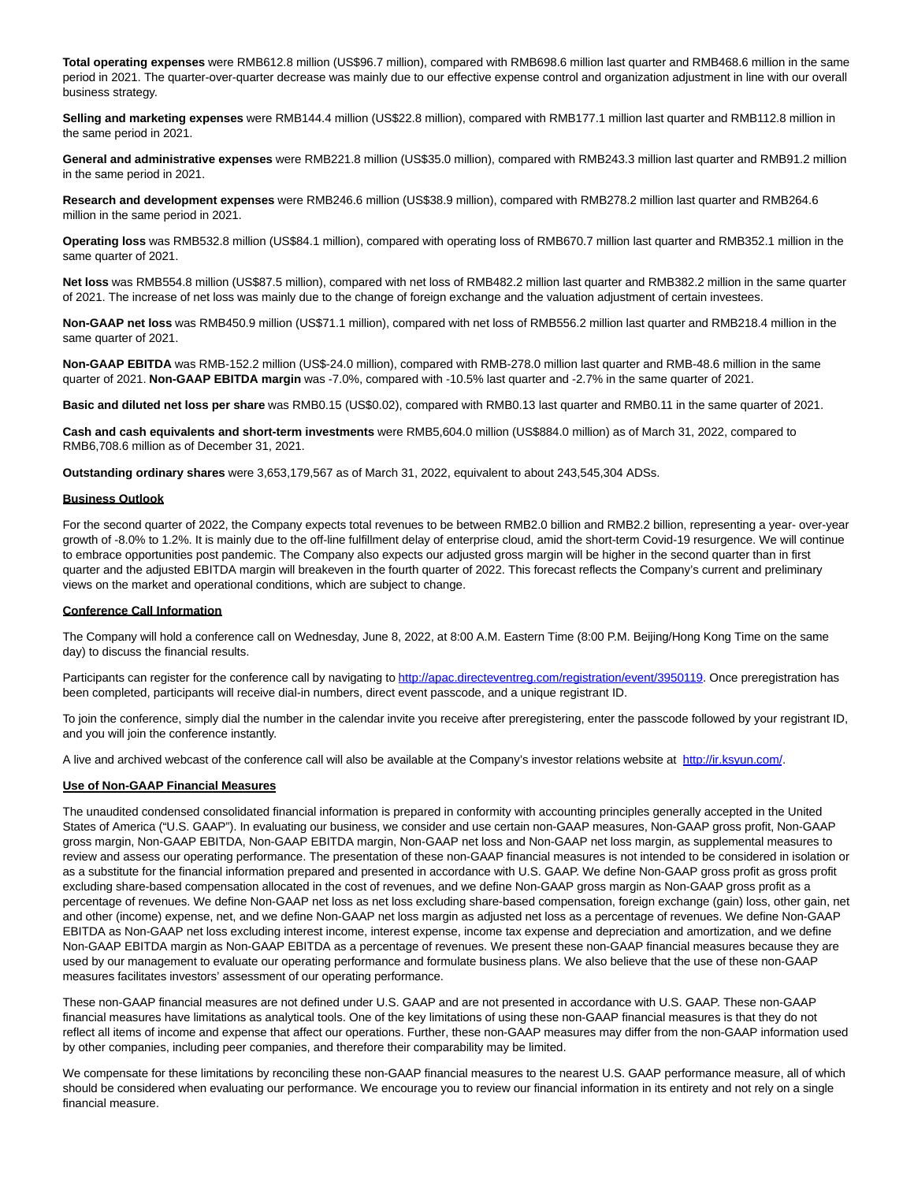**Total operating expenses** were RMB612.8 million (US\$96.7 million), compared with RMB698.6 million last quarter and RMB468.6 million in the same period in 2021. The quarter-over-quarter decrease was mainly due to our effective expense control and organization adjustment in line with our overall business strategy.

**Selling and marketing expenses** were RMB144.4 million (US\$22.8 million), compared with RMB177.1 million last quarter and RMB112.8 million in the same period in 2021.

**General and administrative expenses** were RMB221.8 million (US\$35.0 million), compared with RMB243.3 million last quarter and RMB91.2 million in the same period in 2021.

**Research and development expenses** were RMB246.6 million (US\$38.9 million), compared with RMB278.2 million last quarter and RMB264.6 million in the same period in 2021.

**Operating loss** was RMB532.8 million (US\$84.1 million), compared with operating loss of RMB670.7 million last quarter and RMB352.1 million in the same quarter of 2021.

**Net loss** was RMB554.8 million (US\$87.5 million), compared with net loss of RMB482.2 million last quarter and RMB382.2 million in the same quarter of 2021. The increase of net loss was mainly due to the change of foreign exchange and the valuation adjustment of certain investees.

**Non-GAAP net loss** was RMB450.9 million (US\$71.1 million), compared with net loss of RMB556.2 million last quarter and RMB218.4 million in the same quarter of 2021.

**Non-GAAP EBITDA** was RMB-152.2 million (US\$-24.0 million), compared with RMB-278.0 million last quarter and RMB-48.6 million in the same quarter of 2021. **Non-GAAP EBITDA margin** was -7.0%, compared with -10.5% last quarter and -2.7% in the same quarter of 2021.

**Basic and diluted net loss per share** was RMB0.15 (US\$0.02), compared with RMB0.13 last quarter and RMB0.11 in the same quarter of 2021.

**Cash and cash equivalents and short-term investments** were RMB5,604.0 million (US\$884.0 million) as of March 31, 2022, compared to RMB6,708.6 million as of December 31, 2021.

**Outstanding ordinary shares** were 3,653,179,567 as of March 31, 2022, equivalent to about 243,545,304 ADSs.

#### **Business Outlook**

For the second quarter of 2022, the Company expects total revenues to be between RMB2.0 billion and RMB2.2 billion, representing a year- over-year growth of -8.0% to 1.2%. It is mainly due to the off-line fulfillment delay of enterprise cloud, amid the short-term Covid-19 resurgence. We will continue to embrace opportunities post pandemic. The Company also expects our adjusted gross margin will be higher in the second quarter than in first quarter and the adjusted EBITDA margin will breakeven in the fourth quarter of 2022. This forecast reflects the Company's current and preliminary views on the market and operational conditions, which are subject to change.

#### **Conference Call Information**

The Company will hold a conference call on Wednesday, June 8, 2022, at 8:00 A.M. Eastern Time (8:00 P.M. Beijing/Hong Kong Time on the same day) to discuss the financial results.

Participants can register for the conference call by navigating t[o http://apac.directeventreg.com/registration/event/3950119.](https://www.globenewswire.com/Tracker?data=np2Nc4oDRcKRwbm4HC9FMM2IPuTVFQwCL-qvX4wOrtgJGuNER2RGCAmVUHw5BfUd5sirZDPKKmKmV5Yui7JoSUjlhf9nw2iN8VqIb18rjL6y1Mq2Nndxv1T0zrvDzFhC0pSrPbdxiXJ0XIHEl0OjakZHM3I5GI4iMwvt_FOBI6Ji1kIBpyRu6WQ_KRXq1U3o) Once preregistration has been completed, participants will receive dial-in numbers, direct event passcode, and a unique registrant ID.

To join the conference, simply dial the number in the calendar invite you receive after preregistering, enter the passcode followed by your registrant ID, and you will join the conference instantly.

A live and archived webcast of the conference call will also be available at the Company's investor relations website at [http://ir.ksyun.com/.](https://www.globenewswire.com/Tracker?data=np2Nc4oDRcKRwbm4HC9FMKL2sN38jTrQvoKNPdEUToR1KMvlCHtZcDdIUN6P-_G5zURD3vIcfFbYzeni-4IhLQ==)

#### **Use of Non-GAAP Financial Measures**

The unaudited condensed consolidated financial information is prepared in conformity with accounting principles generally accepted in the United States of America ("U.S. GAAP"). In evaluating our business, we consider and use certain non-GAAP measures, Non-GAAP gross profit, Non-GAAP gross margin, Non-GAAP EBITDA, Non-GAAP EBITDA margin, Non-GAAP net loss and Non-GAAP net loss margin, as supplemental measures to review and assess our operating performance. The presentation of these non-GAAP financial measures is not intended to be considered in isolation or as a substitute for the financial information prepared and presented in accordance with U.S. GAAP. We define Non-GAAP gross profit as gross profit excluding share-based compensation allocated in the cost of revenues, and we define Non-GAAP gross margin as Non-GAAP gross profit as a percentage of revenues. We define Non-GAAP net loss as net loss excluding share-based compensation, foreign exchange (gain) loss, other gain, net and other (income) expense, net, and we define Non-GAAP net loss margin as adjusted net loss as a percentage of revenues. We define Non-GAAP EBITDA as Non-GAAP net loss excluding interest income, interest expense, income tax expense and depreciation and amortization, and we define Non-GAAP EBITDA margin as Non-GAAP EBITDA as a percentage of revenues. We present these non-GAAP financial measures because they are used by our management to evaluate our operating performance and formulate business plans. We also believe that the use of these non-GAAP measures facilitates investors' assessment of our operating performance.

These non-GAAP financial measures are not defined under U.S. GAAP and are not presented in accordance with U.S. GAAP. These non-GAAP financial measures have limitations as analytical tools. One of the key limitations of using these non-GAAP financial measures is that they do not reflect all items of income and expense that affect our operations. Further, these non-GAAP measures may differ from the non-GAAP information used by other companies, including peer companies, and therefore their comparability may be limited.

We compensate for these limitations by reconciling these non-GAAP financial measures to the nearest U.S. GAAP performance measure, all of which should be considered when evaluating our performance. We encourage you to review our financial information in its entirety and not rely on a single financial measure.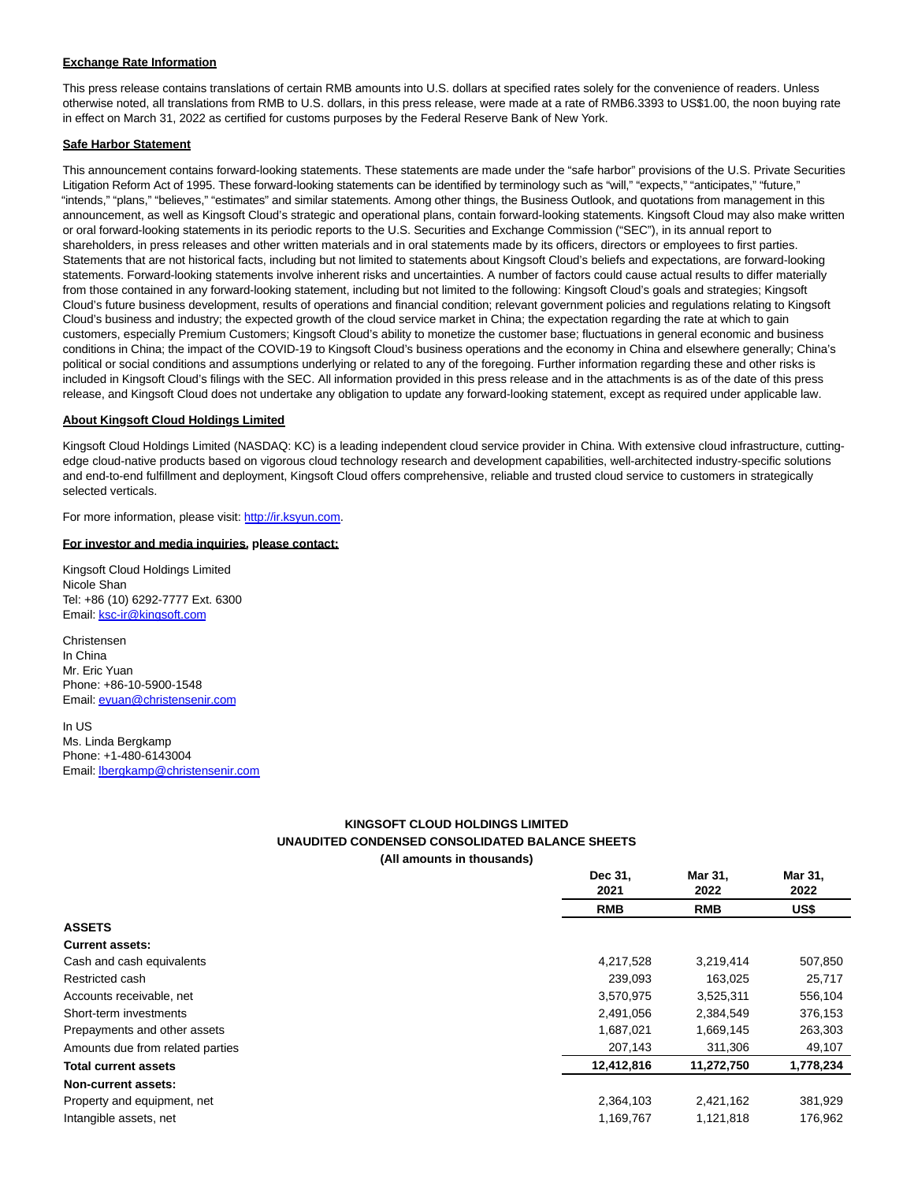### **Exchange Rate Information**

This press release contains translations of certain RMB amounts into U.S. dollars at specified rates solely for the convenience of readers. Unless otherwise noted, all translations from RMB to U.S. dollars, in this press release, were made at a rate of RMB6.3393 to US\$1.00, the noon buying rate in effect on March 31, 2022 as certified for customs purposes by the Federal Reserve Bank of New York.

### **Safe Harbor Statement**

This announcement contains forward-looking statements. These statements are made under the "safe harbor" provisions of the U.S. Private Securities Litigation Reform Act of 1995. These forward-looking statements can be identified by terminology such as "will," "expects," "anticipates," "future," "intends," "plans," "believes," "estimates" and similar statements. Among other things, the Business Outlook, and quotations from management in this announcement, as well as Kingsoft Cloud's strategic and operational plans, contain forward-looking statements. Kingsoft Cloud may also make written or oral forward-looking statements in its periodic reports to the U.S. Securities and Exchange Commission ("SEC"), in its annual report to shareholders, in press releases and other written materials and in oral statements made by its officers, directors or employees to first parties. Statements that are not historical facts, including but not limited to statements about Kingsoft Cloud's beliefs and expectations, are forward-looking statements. Forward-looking statements involve inherent risks and uncertainties. A number of factors could cause actual results to differ materially from those contained in any forward-looking statement, including but not limited to the following: Kingsoft Cloud's goals and strategies; Kingsoft Cloud's future business development, results of operations and financial condition; relevant government policies and regulations relating to Kingsoft Cloud's business and industry; the expected growth of the cloud service market in China; the expectation regarding the rate at which to gain customers, especially Premium Customers; Kingsoft Cloud's ability to monetize the customer base; fluctuations in general economic and business conditions in China; the impact of the COVID-19 to Kingsoft Cloud's business operations and the economy in China and elsewhere generally; China's political or social conditions and assumptions underlying or related to any of the foregoing. Further information regarding these and other risks is included in Kingsoft Cloud's filings with the SEC. All information provided in this press release and in the attachments is as of the date of this press release, and Kingsoft Cloud does not undertake any obligation to update any forward-looking statement, except as required under applicable law.

#### **About Kingsoft Cloud Holdings Limited**

Kingsoft Cloud Holdings Limited (NASDAQ: KC) is a leading independent cloud service provider in China. With extensive cloud infrastructure, cuttingedge cloud-native products based on vigorous cloud technology research and development capabilities, well-architected industry-specific solutions and end-to-end fulfillment and deployment, Kingsoft Cloud offers comprehensive, reliable and trusted cloud service to customers in strategically selected verticals.

For more information, please visit: [http://ir.ksyun.com.](https://www.globenewswire.com/Tracker?data=np2Nc4oDRcKRwbm4HC9FMFh0lesJli8JILLnsH6sj1_HbbOhlkq73PaClId9-FR_C-bAf8T9Wgj7bixZ63qHIQ==)

#### **For investor and media inquiries, please contact:**

Kingsoft Cloud Holdings Limited Nicole Shan Tel: +86 (10) 6292-7777 Ext. 6300 Email[: ksc-ir@kingsoft.com](https://www.globenewswire.com/Tracker?data=Exu2DCAZYhIw0dlJu1Ve3COjP-EhtFj-thYYdD6CaQTNVuWhQ2Cgn0BTol4y1tZd3z6CfpgxzHXcdRS1gKghAELagieV-RfrBqgifScEfZg=)

Christensen In China Mr. Eric Yuan Phone: +86-10-5900-1548 Email[: eyuan@christensenir.com](https://www.globenewswire.com/Tracker?data=HDQv5JGKp13P3ZtZ39lT_3DO1OAsWAu2IncfACG0vPtIY7FPzhEz4I2KQp6ztSjOgcD0MrURjpZc011zvu1TzlNrZAC9itJcmVDKIx1wOM4=)

In US Ms. Linda Bergkamp Phone: +1-480-6143004 Email[: lbergkamp@christensenir.com](https://www.globenewswire.com/Tracker?data=2SIHMLBcBgzVFdQ00zJlg2mdjcA1Y4AJjK_wwGlz-wns_-jg89wlpyh_7_6Yza4BFE2SmOIz0i4iu_1Hoyl3A-rX09bIRIKFY2weGAXHeK3DDqxdpHM0TKodW7t9I61H)

### **KINGSOFT CLOUD HOLDINGS LIMITED UNAUDITED CONDENSED CONSOLIDATED BALANCE SHEETS (All amounts in thousands)**

|                                  | Dec 31,<br>2021 | Mar 31.<br>2022 | Mar 31,<br>2022 |
|----------------------------------|-----------------|-----------------|-----------------|
|                                  | <b>RMB</b>      | <b>RMB</b>      | US\$            |
| <b>ASSETS</b>                    |                 |                 |                 |
| <b>Current assets:</b>           |                 |                 |                 |
| Cash and cash equivalents        | 4,217,528       | 3,219,414       | 507,850         |
| Restricted cash                  | 239.093         | 163.025         | 25,717          |
| Accounts receivable, net         | 3,570,975       | 3,525,311       | 556,104         |
| Short-term investments           | 2,491,056       | 2,384,549       | 376,153         |
| Prepayments and other assets     | 1,687,021       | 1,669,145       | 263,303         |
| Amounts due from related parties | 207,143         | 311,306         | 49,107          |
| <b>Total current assets</b>      | 12,412,816      | 11,272,750      | 1,778,234       |
| Non-current assets:              |                 |                 |                 |
| Property and equipment, net      | 2,364,103       | 2,421,162       | 381,929         |
| Intangible assets, net           | 1,169,767       | 1,121,818       | 176,962         |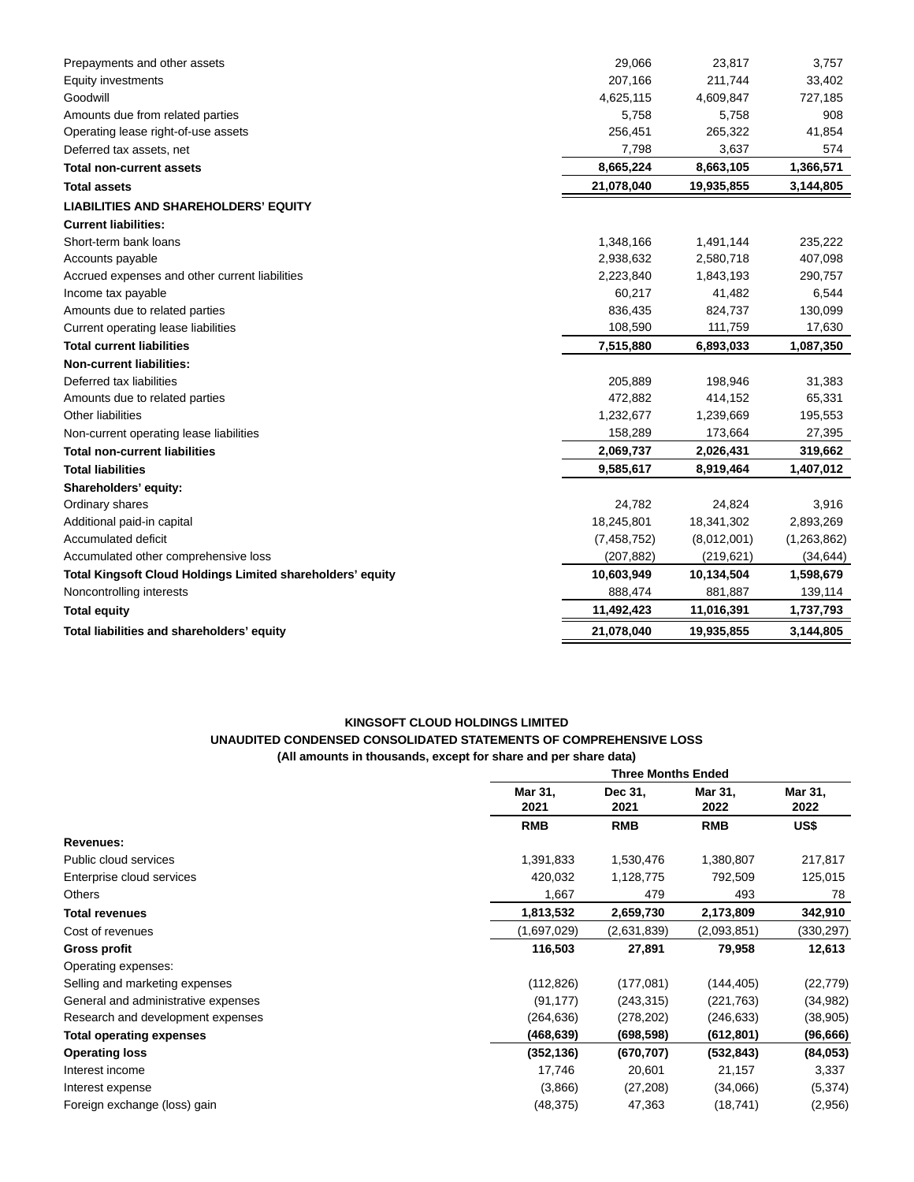| Prepayments and other assets                                      | 29,066        | 23,817      | 3,757       |
|-------------------------------------------------------------------|---------------|-------------|-------------|
| <b>Equity investments</b>                                         | 207,166       | 211,744     | 33,402      |
| Goodwill                                                          | 4,625,115     | 4,609,847   | 727,185     |
| Amounts due from related parties                                  | 5,758         | 5,758       | 908         |
| Operating lease right-of-use assets                               | 256,451       | 265,322     | 41,854      |
| Deferred tax assets, net                                          | 7,798         | 3,637       | 574         |
| <b>Total non-current assets</b>                                   | 8,665,224     | 8,663,105   | 1,366,571   |
| <b>Total assets</b>                                               | 21,078,040    | 19,935,855  | 3,144,805   |
| <b>LIABILITIES AND SHAREHOLDERS' EQUITY</b>                       |               |             |             |
| <b>Current liabilities:</b>                                       |               |             |             |
| Short-term bank loans                                             | 1,348,166     | 1,491,144   | 235,222     |
| Accounts payable                                                  | 2,938,632     | 2,580,718   | 407,098     |
| Accrued expenses and other current liabilities                    | 2,223,840     | 1,843,193   | 290,757     |
| Income tax payable                                                | 60,217        | 41,482      | 6,544       |
| Amounts due to related parties                                    | 836,435       | 824,737     | 130,099     |
| Current operating lease liabilities                               | 108,590       | 111,759     | 17,630      |
| <b>Total current liabilities</b>                                  | 7,515,880     | 6,893,033   | 1,087,350   |
| <b>Non-current liabilities:</b>                                   |               |             |             |
| Deferred tax liabilities                                          | 205,889       | 198,946     | 31,383      |
| Amounts due to related parties                                    | 472,882       | 414,152     | 65,331      |
| Other liabilities                                                 | 1,232,677     | 1,239,669   | 195,553     |
| Non-current operating lease liabilities                           | 158,289       | 173,664     | 27,395      |
| <b>Total non-current liabilities</b>                              | 2,069,737     | 2,026,431   | 319,662     |
| <b>Total liabilities</b>                                          | 9,585,617     | 8,919,464   | 1,407,012   |
| Shareholders' equity:                                             |               |             |             |
| Ordinary shares                                                   | 24,782        | 24,824      | 3,916       |
| Additional paid-in capital                                        | 18,245,801    | 18,341,302  | 2,893,269   |
| Accumulated deficit                                               | (7, 458, 752) | (8,012,001) | (1,263,862) |
| Accumulated other comprehensive loss                              | (207, 882)    | (219, 621)  | (34, 644)   |
| <b>Total Kingsoft Cloud Holdings Limited shareholders' equity</b> | 10,603,949    | 10,134,504  | 1,598,679   |
| Noncontrolling interests                                          | 888,474       | 881,887     | 139,114     |
| <b>Total equity</b>                                               | 11,492,423    | 11,016,391  | 1,737,793   |
| Total liabilities and shareholders' equity                        | 21,078,040    | 19,935,855  | 3,144,805   |
|                                                                   |               |             |             |

# **KINGSOFT CLOUD HOLDINGS LIMITED UNAUDITED CONDENSED CONSOLIDATED STATEMENTS OF COMPREHENSIVE LOSS (All amounts in thousands, except for share and per share data)**

|                                     |                 | <b>Three Months Ended</b> |                 |                 |  |  |
|-------------------------------------|-----------------|---------------------------|-----------------|-----------------|--|--|
|                                     | Mar 31,<br>2021 | Dec 31,<br>2021           | Mar 31,<br>2022 | Mar 31,<br>2022 |  |  |
|                                     | <b>RMB</b>      | <b>RMB</b>                | <b>RMB</b>      | US\$            |  |  |
| Revenues:                           |                 |                           |                 |                 |  |  |
| Public cloud services               | 1,391,833       | 1,530,476                 | 1,380,807       | 217,817         |  |  |
| Enterprise cloud services           | 420,032         | 1,128,775                 | 792,509         | 125,015         |  |  |
| <b>Others</b>                       | 1,667           | 479                       | 493             | 78              |  |  |
| <b>Total revenues</b>               | 1,813,532       | 2,659,730                 | 2,173,809       | 342,910         |  |  |
| Cost of revenues                    | (1,697,029)     | (2,631,839)               | (2,093,851)     | (330, 297)      |  |  |
| Gross profit                        | 116,503         | 27,891                    | 79,958          | 12,613          |  |  |
| Operating expenses:                 |                 |                           |                 |                 |  |  |
| Selling and marketing expenses      | (112, 826)      | (177,081)                 | (144, 405)      | (22, 779)       |  |  |
| General and administrative expenses | (91, 177)       | (243,315)                 | (221, 763)      | (34, 982)       |  |  |
| Research and development expenses   | (264,636)       | (278,202)                 | (246, 633)      | (38, 905)       |  |  |
| <b>Total operating expenses</b>     | (468,639)       | (698, 598)                | (612, 801)      | (96, 666)       |  |  |
| <b>Operating loss</b>               | (352, 136)      | (670, 707)                | (532, 843)      | (84, 053)       |  |  |
| Interest income                     | 17,746          | 20,601                    | 21,157          | 3,337           |  |  |
| Interest expense                    | (3,866)         | (27, 208)                 | (34,066)        | (5, 374)        |  |  |
| Foreign exchange (loss) gain        | (48, 375)       | 47,363                    | (18, 741)       | (2,956)         |  |  |
|                                     |                 |                           |                 |                 |  |  |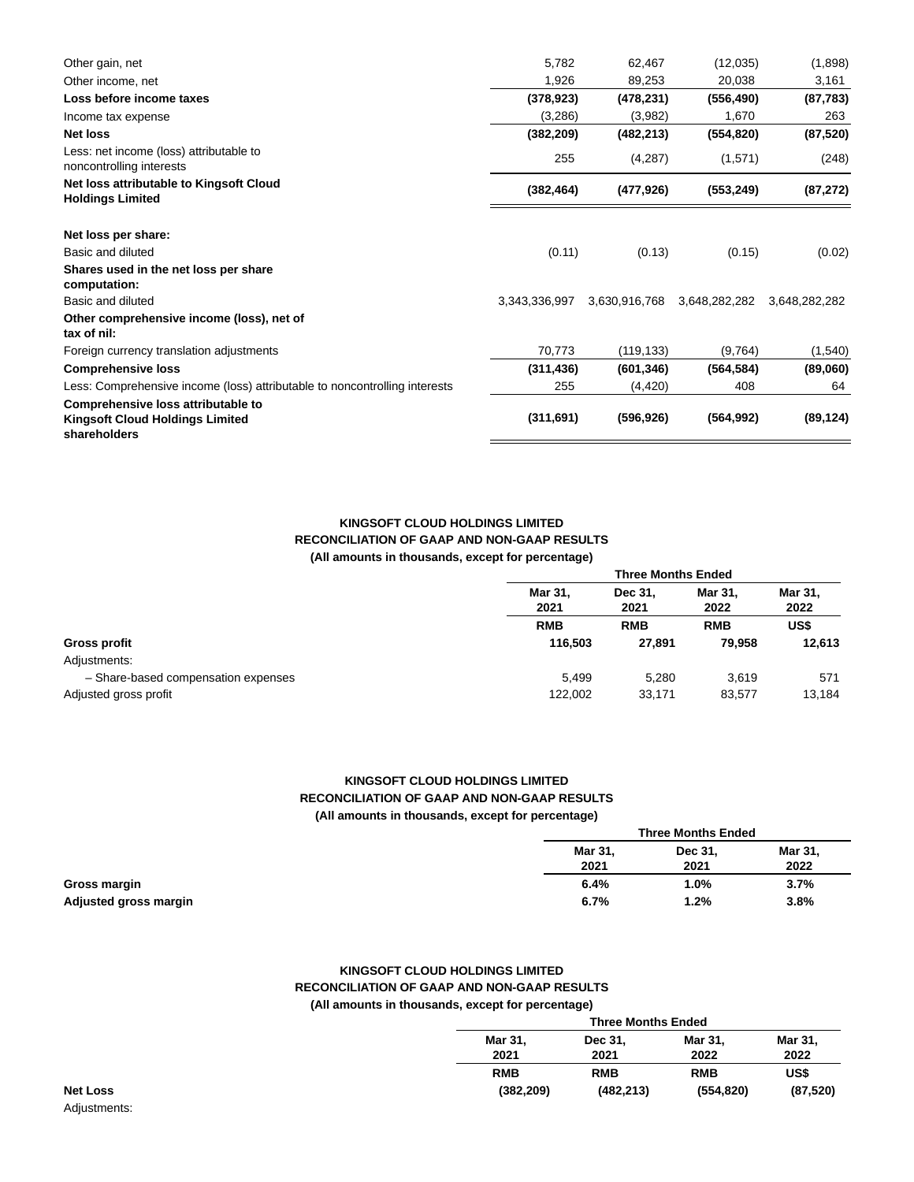| 5,782         | 62,467        | (12,035)      | (1,898)       |
|---------------|---------------|---------------|---------------|
| 1,926         | 89,253        | 20,038        | 3,161         |
| (378, 923)    | (478, 231)    | (556, 490)    | (87, 783)     |
| (3,286)       | (3,982)       | 1,670         | 263           |
| (382, 209)    | (482, 213)    | (554, 820)    | (87, 520)     |
| 255           | (4,287)       | (1,571)       | (248)         |
| (382, 464)    | (477, 926)    | (553, 249)    | (87, 272)     |
|               |               |               |               |
| (0.11)        | (0.13)        | (0.15)        | (0.02)        |
|               |               |               |               |
| 3,343,336,997 | 3,630,916,768 | 3,648,282,282 | 3,648,282,282 |
|               |               |               |               |
| 70,773        | (119, 133)    | (9,764)       | (1,540)       |
| (311, 436)    | (601, 346)    | (564, 584)    | (89,060)      |
| 255           | (4, 420)      | 408           | 64            |
| (311, 691)    | (596, 926)    | (564, 992)    | (89, 124)     |
|               |               |               |               |

## **KINGSOFT CLOUD HOLDINGS LIMITED RECONCILIATION OF GAAP AND NON-GAAP RESULTS (All amounts in thousands, except for percentage)**

|                                     |                 | <b>Three Months Ended</b> |                 |                 |  |  |
|-------------------------------------|-----------------|---------------------------|-----------------|-----------------|--|--|
|                                     | Mar 31,<br>2021 | Dec 31.<br>2021           | Mar 31.<br>2022 | Mar 31.<br>2022 |  |  |
|                                     | <b>RMB</b>      | <b>RMB</b>                | <b>RMB</b>      | US\$            |  |  |
|                                     | 116.503         | 27,891                    | 79.958          | 12,613          |  |  |
|                                     |                 |                           |                 |                 |  |  |
| - Share-based compensation expenses | 5.499           | 5.280                     | 3.619           | 571             |  |  |
|                                     | 122,002         | 33,171                    | 83,577          | 13,184          |  |  |

### **KINGSOFT CLOUD HOLDINGS LIMITED RECONCILIATION OF GAAP AND NON-GAAP RESULTS (All amounts in thousands, except for percentage)**

| - -<br><b>Three Months Ended</b> |                 |                        |
|----------------------------------|-----------------|------------------------|
| Mar 31,<br>2021                  | Dec 31,<br>2021 | <b>Mar 31,</b><br>2022 |
| 6.4%                             | 1.0%            | 3.7%                   |
| 6.7%                             | 1.2%            | 3.8%                   |

## **KINGSOFT CLOUD HOLDINGS LIMITED RECONCILIATION OF GAAP AND NON-GAAP RESULTS (All amounts in thousands, except for percentage)**

| <b>Three Months Ended</b> |                 |                 |                 |
|---------------------------|-----------------|-----------------|-----------------|
| Mar 31,<br>2021           | Dec 31,<br>2021 | Mar 31.<br>2022 | Mar 31.<br>2022 |
| <b>RMB</b>                | <b>RMB</b>      | <b>RMB</b>      | US\$            |
| (382, 209)                | (482, 213)      | (554, 820)      | (87, 520)       |

Adjustments: